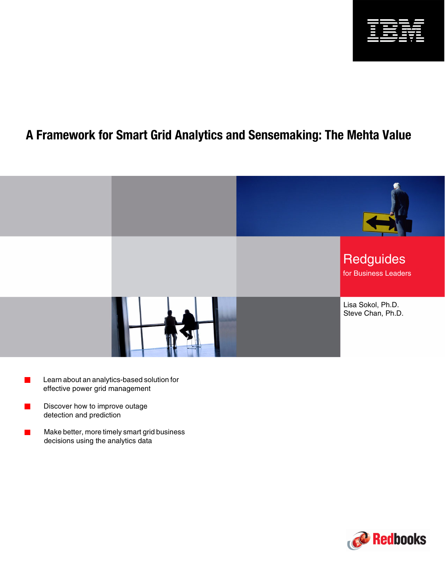

## **A Framework for Smart Grid Analytics and Sensemaking: The Mehta Value**



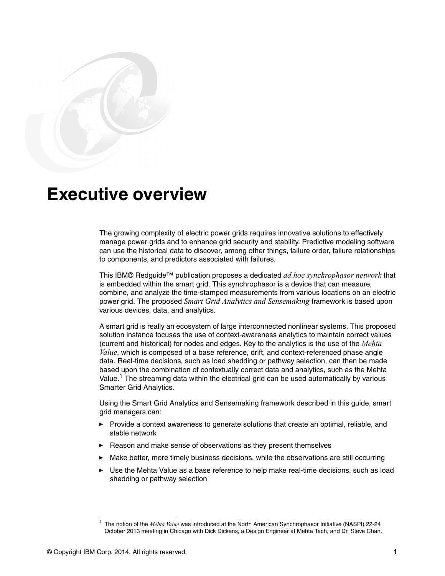

# **Executive overview**

The growing complexity of electric power grids requires innovative solutions to effectively manage power grids and to enhance grid security and stability. Predictive modeling software can use the historical data to discover, among other things, failure order, failure relationships to components, and predictors associated with failures.

This IBM® Redguide™ publication proposes a dedicated *ad hoc synchrophasor network* that is embedded within the smart grid. This synchrophasor is a device that can measure, combine, and analyze the time-stamped measurements from various locations on an electric power grid. The proposed *Smart Grid Analytics and Sensemaking* framework is based upon various devices, data, and analytics.

A smart grid is really an ecosystem of large interconnected nonlinear systems. This proposed solution instance focuses the use of context-awareness analytics to maintain correct values (current and historical) for nodes and edges. Key to the analytics is the use of the *Mehta Value*, which is composed of a base reference, drift, and context-referenced phase angle data. Real-time decisions, such as load shedding or pathway selection, can then be made based upon the combination of contextually correct data and analytics, such as the Mehta Value.1 The streaming data within the electrical grid can be used automatically by various Smarter Grid Analytics.

Using the Smart Grid Analytics and Sensemaking framework described in this guide, smart grid managers can:

- Provide a context awareness to generate solutions that create an optimal, reliable, and stable network
- -Reason and make sense of observations as they present themselves
- -Make better, more timely business decisions, while the observations are still occurring
- - Use the Mehta Value as a base reference to help make real-time decisions, such as load shedding or pathway selection

<sup>&</sup>lt;sup>1</sup> The notion of the *Mehta Value* was introduced at the North American Synchrophasor Initiative (NASPI) 22-24 October 2013 meeting in Chicago with Dick Dickens, a Design Engineer at Mehta Tech, and Dr. Steve Chan.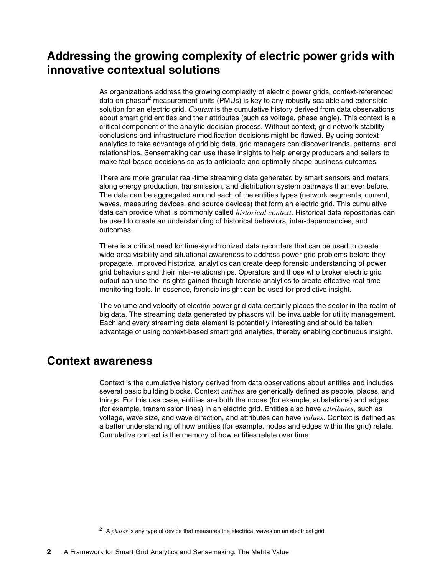## **Addressing the growing complexity of electric power grids with innovative contextual solutions**

As organizations address the growing complexity of electric power grids, context-referenced data on phasor<sup>2</sup> measurement units (PMUs) is key to any robustly scalable and extensible solution for an electric grid. *Context* is the cumulative history derived from data observations about smart grid entities and their attributes (such as voltage, phase angle). This context is a critical component of the analytic decision process. Without context, grid network stability conclusions and infrastructure modification decisions might be flawed. By using context analytics to take advantage of grid big data, grid managers can discover trends, patterns, and relationships. Sensemaking can use these insights to help energy producers and sellers to make fact-based decisions so as to anticipate and optimally shape business outcomes.

There are more granular real-time streaming data generated by smart sensors and meters along energy production, transmission, and distribution system pathways than ever before. The data can be aggregated around each of the entities types (network segments, current, waves, measuring devices, and source devices) that form an electric grid. This cumulative data can provide what is commonly called *historical context*. Historical data repositories can be used to create an understanding of historical behaviors, inter-dependencies, and outcomes.

There is a critical need for time-synchronized data recorders that can be used to create wide-area visibility and situational awareness to address power grid problems before they propagate. Improved historical analytics can create deep forensic understanding of power grid behaviors and their inter-relationships. Operators and those who broker electric grid output can use the insights gained though forensic analytics to create effective real-time monitoring tools. In essence, forensic insight can be used for predictive insight.

The volume and velocity of electric power grid data certainly places the sector in the realm of big data. The streaming data generated by phasors will be invaluable for utility management. Each and every streaming data element is potentially interesting and should be taken advantage of using context-based smart grid analytics, thereby enabling continuous insight.

## **Context awareness**

Context is the cumulative history derived from data observations about entities and includes several basic building blocks. Context *entities* are generically defined as people, places, and things. For this use case, entities are both the nodes (for example, substations) and edges (for example, transmission lines) in an electric grid. Entities also have *attributes*, such as voltage, wave size, and wave direction, and attributes can have *values*. Context is defined as a better understanding of how entities (for example, nodes and edges within the grid) relate. Cumulative context is the memory of how entities relate over time.

<sup>&</sup>lt;sup>2</sup> A *phasor* is any type of device that measures the electrical waves on an electrical grid.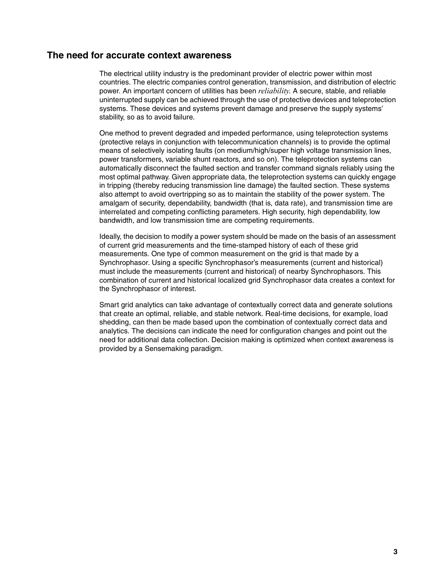#### **The need for accurate context awareness**

The electrical utility industry is the predominant provider of electric power within most countries. The electric companies control generation, transmission, and distribution of electric power. An important concern of utilities has been *reliability*. A secure, stable, and reliable uninterrupted supply can be achieved through the use of protective devices and teleprotection systems. These devices and systems prevent damage and preserve the supply systems' stability, so as to avoid failure.

One method to prevent degraded and impeded performance, using teleprotection systems (protective relays in conjunction with telecommunication channels) is to provide the optimal means of selectively isolating faults (on medium/high/super high voltage transmission lines, power transformers, variable shunt reactors, and so on). The teleprotection systems can automatically disconnect the faulted section and transfer command signals reliably using the most optimal pathway. Given appropriate data, the teleprotection systems can quickly engage in tripping (thereby reducing transmission line damage) the faulted section. These systems also attempt to avoid overtripping so as to maintain the stability of the power system. The amalgam of security, dependability, bandwidth (that is, data rate), and transmission time are interrelated and competing conflicting parameters. High security, high dependability, low bandwidth, and low transmission time are competing requirements.

Ideally, the decision to modify a power system should be made on the basis of an assessment of current grid measurements and the time-stamped history of each of these grid measurements. One type of common measurement on the grid is that made by a Synchrophasor. Using a specific Synchrophasor's measurements (current and historical) must include the measurements (current and historical) of nearby Synchrophasors. This combination of current and historical localized grid Synchrophasor data creates a context for the Synchrophasor of interest.

Smart grid analytics can take advantage of contextually correct data and generate solutions that create an optimal, reliable, and stable network. Real-time decisions, for example, load shedding, can then be made based upon the combination of contextually correct data and analytics. The decisions can indicate the need for configuration changes and point out the need for additional data collection. Decision making is optimized when context awareness is provided by a Sensemaking paradigm.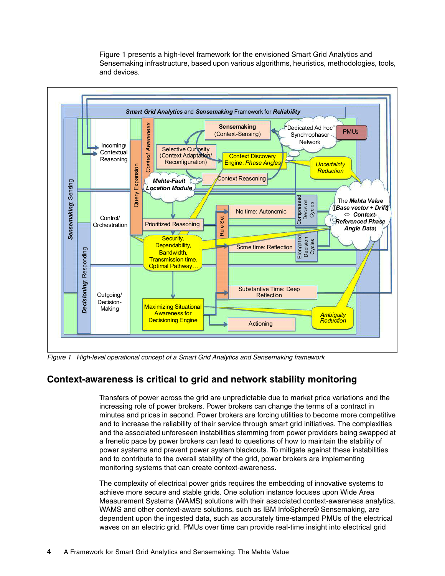

[Figure 1](#page-5-0) presents a high-level framework for the envisioned Smart Grid Analytics and Sensemaking infrastructure, based upon various algorithms, heuristics, methodologies, tools, and devices.

<span id="page-5-0"></span>*Figure 1 High-level operational concept of a Smart Grid Analytics and Sensemaking framework*

#### **Context-awareness is critical to grid and network stability monitoring**

Transfers of power across the grid are unpredictable due to market price variations and the increasing role of power brokers. Power brokers can change the terms of a contract in minutes and prices in second. Power brokers are forcing utilities to become more competitive and to increase the reliability of their service through smart grid initiatives. The complexities and the associated unforeseen instabilities stemming from power providers being swapped at a frenetic pace by power brokers can lead to questions of how to maintain the stability of power systems and prevent power system blackouts. To mitigate against these instabilities and to contribute to the overall stability of the grid, power brokers are implementing monitoring systems that can create context-awareness.

The complexity of electrical power grids requires the embedding of innovative systems to achieve more secure and stable grids. One solution instance focuses upon Wide Area Measurement Systems (WAMS) solutions with their associated context-awareness analytics. WAMS and other context-aware solutions, such as IBM InfoSphere® Sensemaking, are dependent upon the ingested data, such as accurately time-stamped PMUs of the electrical waves on an electric grid. PMUs over time can provide real-time insight into electrical grid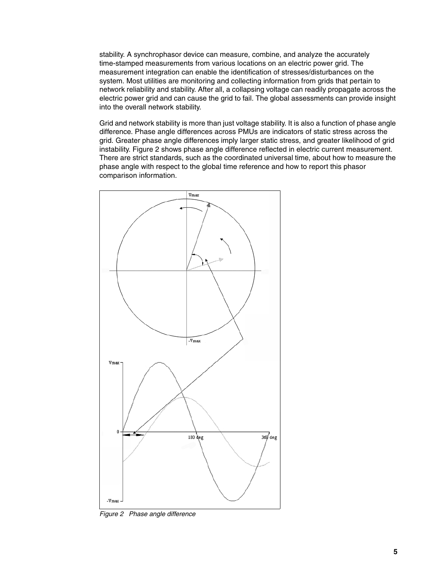stability. A synchrophasor device can measure, combine, and analyze the accurately time-stamped measurements from various locations on an electric power grid. The measurement integration can enable the identification of stresses/disturbances on the system. Most utilities are monitoring and collecting information from grids that pertain to network reliability and stability. After all, a collapsing voltage can readily propagate across the electric power grid and can cause the grid to fail. The global assessments can provide insight into the overall network stability.

Grid and network stability is more than just voltage stability. It is also a function of phase angle difference. Phase angle differences across PMUs are indicators of static stress across the grid. Greater phase angle differences imply larger static stress, and greater likelihood of grid instability. [Figure 2](#page-6-0) shows phase angle difference reflected in electric current measurement. There are strict standards, such as the coordinated universal time, about how to measure the phase angle with respect to the global time reference and how to report this phasor comparison information.



<span id="page-6-0"></span>*Figure 2 Phase angle difference*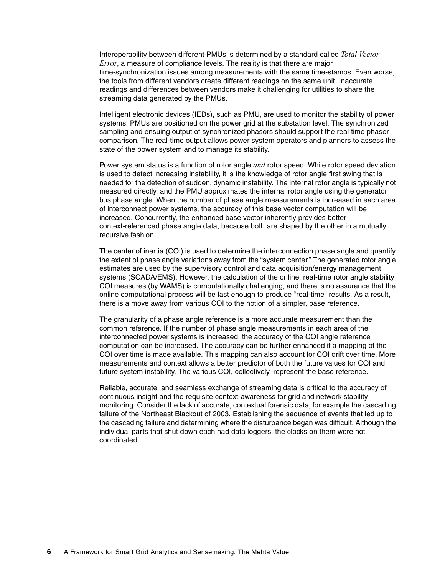Interoperability between different PMUs is determined by a standard called *Total Vector Error*, a measure of compliance levels. The reality is that there are major time-synchronization issues among measurements with the same time-stamps. Even worse, the tools from different vendors create different readings on the same unit. Inaccurate readings and differences between vendors make it challenging for utilities to share the streaming data generated by the PMUs.

Intelligent electronic devices (IEDs), such as PMU, are used to monitor the stability of power systems. PMUs are positioned on the power grid at the substation level. The synchronized sampling and ensuing output of synchronized phasors should support the real time phasor comparison. The real-time output allows power system operators and planners to assess the state of the power system and to manage its stability.

Power system status is a function of rotor angle *and* rotor speed. While rotor speed deviation is used to detect increasing instability, it is the knowledge of rotor angle first swing that is needed for the detection of sudden, dynamic instability. The internal rotor angle is typically not measured directly, and the PMU approximates the internal rotor angle using the generator bus phase angle. When the number of phase angle measurements is increased in each area of interconnect power systems, the accuracy of this base vector computation will be increased. Concurrently, the enhanced base vector inherently provides better context-referenced phase angle data, because both are shaped by the other in a mutually recursive fashion.

The center of inertia (COI) is used to determine the interconnection phase angle and quantify the extent of phase angle variations away from the "system center." The generated rotor angle estimates are used by the supervisory control and data acquisition/energy management systems (SCADA/EMS). However, the calculation of the online, real-time rotor angle stability COI measures (by WAMS) is computationally challenging, and there is no assurance that the online computational process will be fast enough to produce "real-time" results. As a result, there is a move away from various COI to the notion of a simpler, base reference.

The granularity of a phase angle reference is a more accurate measurement than the common reference. If the number of phase angle measurements in each area of the interconnected power systems is increased, the accuracy of the COI angle reference computation can be increased. The accuracy can be further enhanced if a mapping of the COI over time is made available. This mapping can also account for COI drift over time. More measurements and context allows a better predictor of both the future values for COI and future system instability. The various COI, collectively, represent the base reference.

Reliable, accurate, and seamless exchange of streaming data is critical to the accuracy of continuous insight and the requisite context-awareness for grid and network stability monitoring. Consider the lack of accurate, contextual forensic data, for example the cascading failure of the Northeast Blackout of 2003. Establishing the sequence of events that led up to the cascading failure and determining where the disturbance began was difficult. Although the individual parts that shut down each had data loggers, the clocks on them were not coordinated.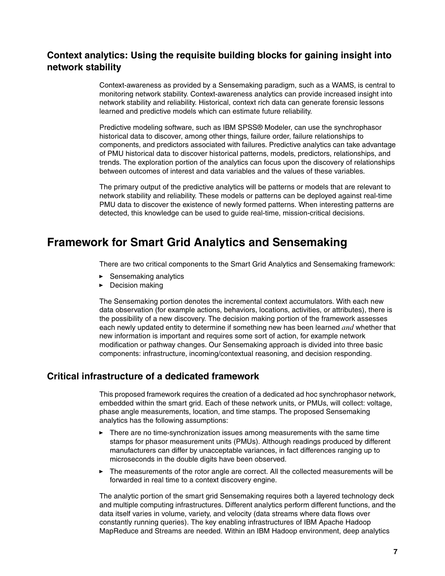### **Context analytics: Using the requisite building blocks for gaining insight into network stability**

Context-awareness as provided by a Sensemaking paradigm, such as a WAMS, is central to monitoring network stability. Context-awareness analytics can provide increased insight into network stability and reliability. Historical, context rich data can generate forensic lessons learned and predictive models which can estimate future reliability.

Predictive modeling software, such as IBM SPSS® Modeler, can use the synchrophasor historical data to discover, among other things, failure order, failure relationships to components, and predictors associated with failures. Predictive analytics can take advantage of PMU historical data to discover historical patterns, models, predictors, relationships, and trends. The exploration portion of the analytics can focus upon the discovery of relationships between outcomes of interest and data variables and the values of these variables.

The primary output of the predictive analytics will be patterns or models that are relevant to network stability and reliability. These models or patterns can be deployed against real-time PMU data to discover the existence of newly formed patterns. When interesting patterns are detected, this knowledge can be used to guide real-time, mission-critical decisions.

## **Framework for Smart Grid Analytics and Sensemaking**

There are two critical components to the Smart Grid Analytics and Sensemaking framework:

- **Exercise** Sensemaking analytics
- **Decision making**

The Sensemaking portion denotes the incremental context accumulators. With each new data observation (for example actions, behaviors, locations, activities, or attributes), there is the possibility of a new discovery. The decision making portion of the framework assesses each newly updated entity to determine if something new has been learned *and* whether that new information is important and requires some sort of action, for example network modification or pathway changes. Our Sensemaking approach is divided into three basic components: infrastructure, incoming/contextual reasoning, and decision responding.

#### **Critical infrastructure of a dedicated framework**

This proposed framework requires the creation of a dedicated ad hoc synchrophasor network, embedded within the smart grid. Each of these network units, or PMUs, will collect: voltage, phase angle measurements, location, and time stamps. The proposed Sensemaking analytics has the following assumptions:

- There are no time-synchronization issues among measurements with the same time stamps for phasor measurement units (PMUs). Although readings produced by different manufacturers can differ by unacceptable variances, in fact differences ranging up to microseconds in the double digits have been observed.
- The measurements of the rotor angle are correct. All the collected measurements will be forwarded in real time to a context discovery engine.

The analytic portion of the smart grid Sensemaking requires both a layered technology deck and multiple computing infrastructures. Different analytics perform different functions, and the data itself varies in volume, variety, and velocity (data streams where data flows over constantly running queries). The key enabling infrastructures of IBM Apache Hadoop MapReduce and Streams are needed. Within an IBM Hadoop environment, deep analytics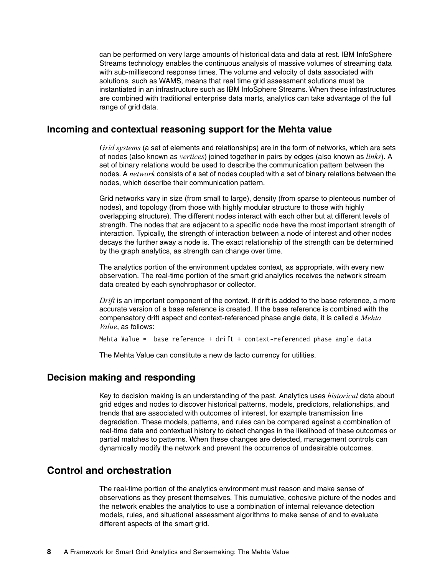can be performed on very large amounts of historical data and data at rest. IBM InfoSphere Streams technology enables the continuous analysis of massive volumes of streaming data with sub-millisecond response times. The volume and velocity of data associated with solutions, such as WAMS, means that real time grid assessment solutions must be instantiated in an infrastructure such as IBM InfoSphere Streams. When these infrastructures are combined with traditional enterprise data marts, analytics can take advantage of the full range of grid data.

#### **Incoming and contextual reasoning support for the Mehta value**

*Grid systems* (a set of elements and relationships) are in the form of networks, which are sets of nodes (also known as *vertices*) joined together in pairs by edges (also known as *links*). A set of binary relations would be used to describe the communication pattern between the nodes. A *network* consists of a set of nodes coupled with a set of binary relations between the nodes, which describe their communication pattern.

Grid networks vary in size (from small to large), density (from sparse to plenteous number of nodes), and topology (from those with highly modular structure to those with highly overlapping structure). The different nodes interact with each other but at different levels of strength. The nodes that are adjacent to a specific node have the most important strength of interaction. Typically, the strength of interaction between a node of interest and other nodes decays the further away a node is. The exact relationship of the strength can be determined by the graph analytics, as strength can change over time.

The analytics portion of the environment updates context, as appropriate, with every new observation. The real-time portion of the smart grid analytics receives the network stream data created by each synchrophasor or collector.

*Drift* is an important component of the context. If drift is added to the base reference, a more accurate version of a base reference is created. If the base reference is combined with the compensatory drift aspect and context-referenced phase angle data, it is called a *Mehta Value*, as follows:

Mehta Value = base reference + drift + context-referenced phase angle data

The Mehta Value can constitute a new de facto currency for utilities.

#### **Decision making and responding**

Key to decision making is an understanding of the past. Analytics uses *historical* data about grid edges and nodes to discover historical patterns, models, predictors, relationships, and trends that are associated with outcomes of interest, for example transmission line degradation. These models, patterns, and rules can be compared against a combination of real-time data and contextual history to detect changes in the likelihood of these outcomes or partial matches to patterns. When these changes are detected, management controls can dynamically modify the network and prevent the occurrence of undesirable outcomes.

#### **Control and orchestration**

The real-time portion of the analytics environment must reason and make sense of observations as they present themselves. This cumulative, cohesive picture of the nodes and the network enables the analytics to use a combination of internal relevance detection models, rules, and situational assessment algorithms to make sense of and to evaluate different aspects of the smart grid.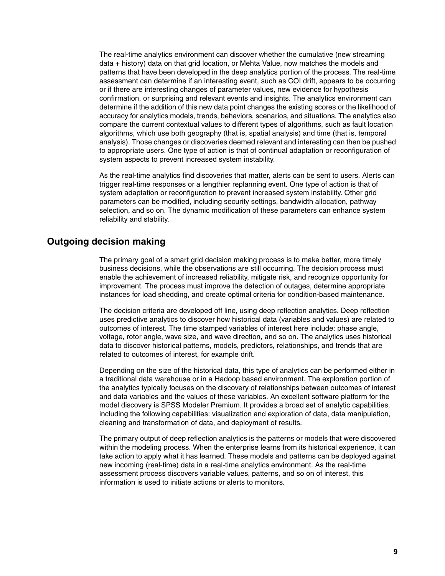The real-time analytics environment can discover whether the cumulative (new streaming data + history) data on that grid location, or Mehta Value, now matches the models and patterns that have been developed in the deep analytics portion of the process. The real-time assessment can determine if an interesting event, such as COI drift, appears to be occurring or if there are interesting changes of parameter values, new evidence for hypothesis confirmation, or surprising and relevant events and insights. The analytics environment can determine if the addition of this new data point changes the existing scores or the likelihood of accuracy for analytics models, trends, behaviors, scenarios, and situations. The analytics also compare the current contextual values to different types of algorithms, such as fault location algorithms, which use both geography (that is, spatial analysis) and time (that is, temporal analysis). Those changes or discoveries deemed relevant and interesting can then be pushed to appropriate users. One type of action is that of continual adaptation or reconfiguration of system aspects to prevent increased system instability.

As the real-time analytics find discoveries that matter, alerts can be sent to users. Alerts can trigger real-time responses or a lengthier replanning event. One type of action is that of system adaptation or reconfiguration to prevent increased system instability. Other grid parameters can be modified, including security settings, bandwidth allocation, pathway selection, and so on. The dynamic modification of these parameters can enhance system reliability and stability.

#### **Outgoing decision making**

The primary goal of a smart grid decision making process is to make better, more timely business decisions, while the observations are still occurring. The decision process must enable the achievement of increased reliability, mitigate risk, and recognize opportunity for improvement. The process must improve the detection of outages, determine appropriate instances for load shedding, and create optimal criteria for condition-based maintenance.

The decision criteria are developed off line, using deep reflection analytics. Deep reflection uses predictive analytics to discover how historical data (variables and values) are related to outcomes of interest. The time stamped variables of interest here include: phase angle, voltage, rotor angle, wave size, and wave direction, and so on. The analytics uses historical data to discover historical patterns, models, predictors, relationships, and trends that are related to outcomes of interest, for example drift.

Depending on the size of the historical data, this type of analytics can be performed either in a traditional data warehouse or in a Hadoop based environment. The exploration portion of the analytics typically focuses on the discovery of relationships between outcomes of interest and data variables and the values of these variables. An excellent software platform for the model discovery is SPSS Modeler Premium. It provides a broad set of analytic capabilities, including the following capabilities: visualization and exploration of data, data manipulation, cleaning and transformation of data, and deployment of results.

The primary output of deep reflection analytics is the patterns or models that were discovered within the modeling process. When the enterprise learns from its historical experience, it can take action to apply what it has learned. These models and patterns can be deployed against new incoming (real-time) data in a real-time analytics environment. As the real-time assessment process discovers variable values, patterns, and so on of interest, this information is used to initiate actions or alerts to monitors.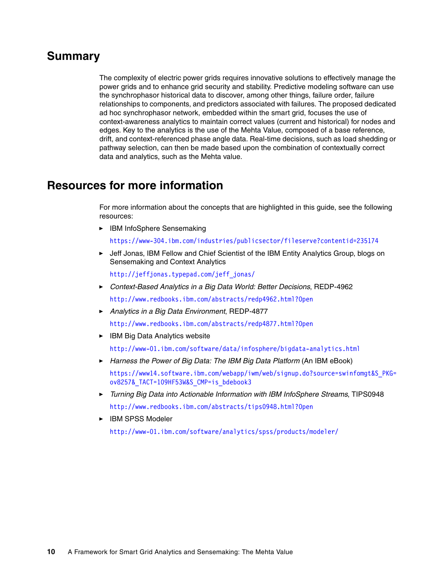## **Summary**

The complexity of electric power grids requires innovative solutions to effectively manage the power grids and to enhance grid security and stability. Predictive modeling software can use the synchrophasor historical data to discover, among other things, failure order, failure relationships to components, and predictors associated with failures. The proposed dedicated ad hoc synchrophasor network, embedded within the smart grid, focuses the use of context-awareness analytics to maintain correct values (current and historical) for nodes and edges. Key to the analytics is the use of the Mehta Value, composed of a base reference, drift, and context-referenced phase angle data. Real-time decisions, such as load shedding or pathway selection, can then be made based upon the combination of contextually correct data and analytics, such as the Mehta value.

## **Resources for more information**

For more information about the concepts that are highlighted in this guide, see the following resources:

- IBM InfoSphere Sensemaking

<https://www-304.ibm.com/industries/publicsector/fileserve?contentid=235174>

► Jeff Jonas, IBM Fellow and Chief Scientist of the IBM Entity Analytics Group, blogs on Sensemaking and Context Analytics

[http://jeffjonas.typepad.com/jeff\\_jonas/](http://jeffjonas.typepad.com/jeff_jonas/
)

- *Context-Based Analytics in a Big Data World: Better Decisions*, REDP-4962 <http://www.redbooks.ibm.com/abstracts/redp4962.html?Open>
- *Analytics in a Big Data Environment*, REDP-4877

<http://www.redbooks.ibm.com/abstracts/redp4877.html?Open>

- IBM Big Data Analytics website

[http://www-01.ibm.com/software/data/infosphere/bigdata-analytics.html](http://www-01.ibm.com/software/data/infosphere/bigdata-analytics.html
)

- *Harness the Power of Big Data: The IBM Big Data Platform* (An IBM eBook)

[https://www14.software.ibm.com/webapp/iwm/web/signup.do?source=swinfomgt&S\\_PKG=](https://www14.software.ibm.com/webapp/iwm/web/signup.do?source=swinfomgt&S_PKG=ov8257&_TACT=109HF53W&S_CMP=is_bdebook3) [ov8257&\\_TACT=109HF53W&S\\_CMP=is\\_bdebook3](https://www14.software.ibm.com/webapp/iwm/web/signup.do?source=swinfomgt&S_PKG=ov8257&_TACT=109HF53W&S_CMP=is_bdebook3)

- *Turning Big Data into Actionable Information with IBM InfoSphere Streams*, TIPS0948 [http://www.redbooks.ibm.com/abstracts/tips0948.html?Open](http://www.redbooks.ibm.com/abstracts/tips0948.html?Open
)
- IBM SPSS Modeler

[http://www-01.ibm.com/software/analytics/spss/products/modeler/](http://www-01.ibm.com/software/analytics/spss/products/modeler/
)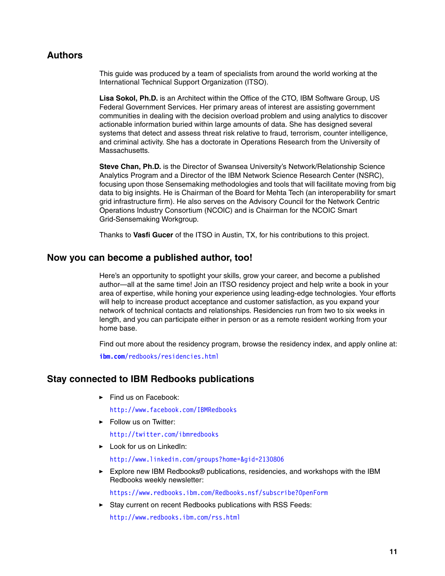#### **Authors**

This guide was produced by a team of specialists from around the world working at the International Technical Support Organization (ITSO).

**Lisa Sokol, Ph.D.** is an Architect within the Office of the CTO, IBM Software Group, US Federal Government Services. Her primary areas of interest are assisting government communities in dealing with the decision overload problem and using analytics to discover actionable information buried within large amounts of data. She has designed several systems that detect and assess threat risk relative to fraud, terrorism, counter intelligence, and criminal activity. She has a doctorate in Operations Research from the University of Massachusetts.

**Steve Chan, Ph.D.** is the Director of Swansea University's Network/Relationship Science Analytics Program and a Director of the IBM Network Science Research Center (NSRC), focusing upon those Sensemaking methodologies and tools that will facilitate moving from big data to big insights. He is Chairman of the Board for Mehta Tech (an interoperability for smart grid infrastructure firm). He also serves on the Advisory Council for the Network Centric Operations Industry Consortium (NCOIC) and is Chairman for the NCOIC Smart Grid-Sensemaking Workgroup.

Thanks to **Vasfi Gucer** of the ITSO in Austin, TX, for his contributions to this project.

#### **Now you can become a published author, too!**

Here's an opportunity to spotlight your skills, grow your career, and become a published author—all at the same time! Join an ITSO residency project and help write a book in your area of expertise, while honing your experience using leading-edge technologies. Your efforts will help to increase product acceptance and customer satisfaction, as you expand your network of technical contacts and relationships. Residencies run from two to six weeks in length, and you can participate either in person or as a remote resident working from your home base.

Find out more about the residency program, browse the residency index, and apply online at: **[ibm.com](http://www.redbooks.ibm.com/residencies.html)**[/redbooks/residencies.html](http://www.redbooks.ibm.com/residencies.html)

**Stay connected to IBM Redbooks publications**

- Find us on Facebook:

<http://www.facebook.com/IBMRedbooks>

► Follow us on Twitter:

[http://twitter.com/ibmredbooks](http://twitter.com/ibmredbooks
)

- ► Look for us on LinkedIn: <http://www.linkedin.com/groups?home=&gid=2130806>
- ► Explore new IBM Redbooks® publications, residencies, and workshops with the IBM Redbooks weekly newsletter:

[https://www.redbooks.ibm.com/Redbooks.nsf/subscribe?OpenForm](https://www.redbooks.ibm.com/Redbooks.nsf/subscribe?OpenForm
)

► Stay current on recent Redbooks publications with RSS Feeds:

<http://www.redbooks.ibm.com/rss.html>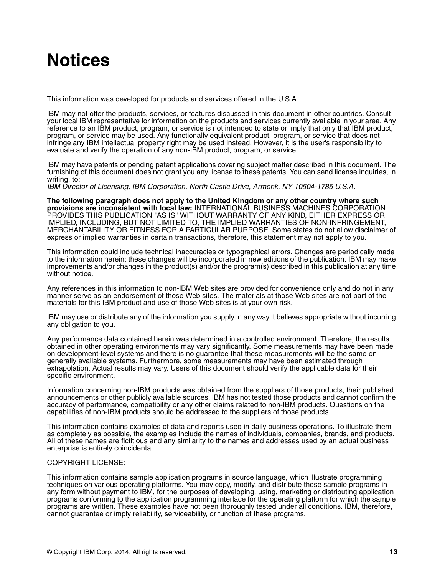# **Notices**

This information was developed for products and services offered in the U.S.A.

IBM may not offer the products, services, or features discussed in this document in other countries. Consult your local IBM representative for information on the products and services currently available in your area. Any reference to an IBM product, program, or service is not intended to state or imply that only that IBM product, program, or service may be used. Any functionally equivalent product, program, or service that does not infringe any IBM intellectual property right may be used instead. However, it is the user's responsibility to evaluate and verify the operation of any non-IBM product, program, or service.

IBM may have patents or pending patent applications covering subject matter described in this document. The furnishing of this document does not grant you any license to these patents. You can send license inquiries, in writing, to:

*IBM Director of Licensing, IBM Corporation, North Castle Drive, Armonk, NY 10504-1785 U.S.A.*

**The following paragraph does not apply to the United Kingdom or any other country where such provisions are inconsistent with local law:** INTERNATIONAL BUSINESS MACHINES CORPORATION PROVIDES THIS PUBLICATION "AS IS" WITHOUT WARRANTY OF ANY KIND, EITHER EXPRESS OR IMPLIED, INCLUDING, BUT NOT LIMITED TO, THE IMPLIED WARRANTIES OF NON-INFRINGEMENT, MERCHANTABILITY OR FITNESS FOR A PARTICULAR PURPOSE. Some states do not allow disclaimer of express or implied warranties in certain transactions, therefore, this statement may not apply to you.

This information could include technical inaccuracies or typographical errors. Changes are periodically made to the information herein; these changes will be incorporated in new editions of the publication. IBM may make improvements and/or changes in the product(s) and/or the program(s) described in this publication at any time without notice.

Any references in this information to non-IBM Web sites are provided for convenience only and do not in any manner serve as an endorsement of those Web sites. The materials at those Web sites are not part of the materials for this IBM product and use of those Web sites is at your own risk.

IBM may use or distribute any of the information you supply in any way it believes appropriate without incurring any obligation to you.

Any performance data contained herein was determined in a controlled environment. Therefore, the results obtained in other operating environments may vary significantly. Some measurements may have been made on development-level systems and there is no guarantee that these measurements will be the same on generally available systems. Furthermore, some measurements may have been estimated through extrapolation. Actual results may vary. Users of this document should verify the applicable data for their specific environment.

Information concerning non-IBM products was obtained from the suppliers of those products, their published announcements or other publicly available sources. IBM has not tested those products and cannot confirm the accuracy of performance, compatibility or any other claims related to non-IBM products. Questions on the capabilities of non-IBM products should be addressed to the suppliers of those products.

This information contains examples of data and reports used in daily business operations. To illustrate them as completely as possible, the examples include the names of individuals, companies, brands, and products. All of these names are fictitious and any similarity to the names and addresses used by an actual business enterprise is entirely coincidental.

#### COPYRIGHT LICENSE:

This information contains sample application programs in source language, which illustrate programming techniques on various operating platforms. You may copy, modify, and distribute these sample programs in any form without payment to IBM, for the purposes of developing, using, marketing or distributing application programs conforming to the application programming interface for the operating platform for which the sample programs are written. These examples have not been thoroughly tested under all conditions. IBM, therefore, cannot guarantee or imply reliability, serviceability, or function of these programs.